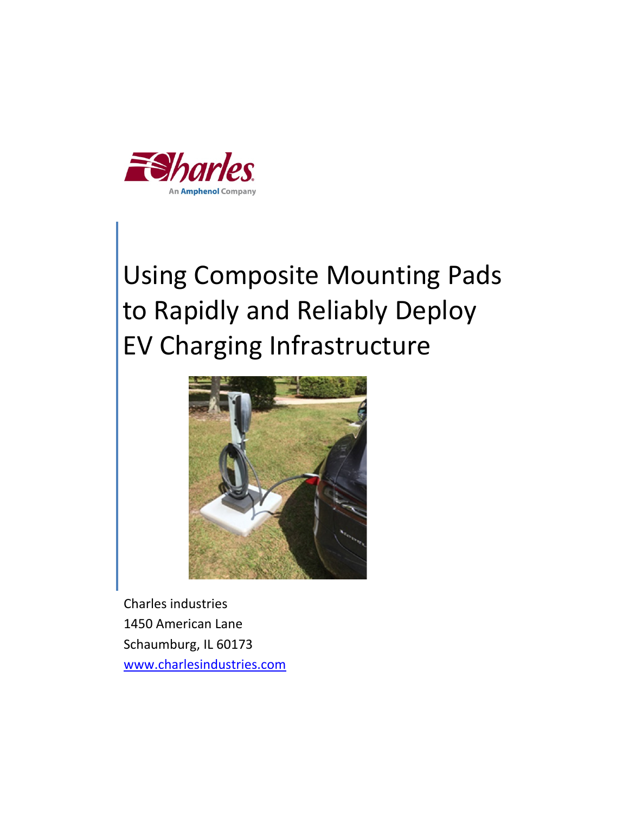

# Using Composite Mounting Pads to Rapidly and Reliably Deploy EV Charging Infrastructure



Charles industries 1450 American Lane Schaumburg, IL 60173 www.charlesindustries.com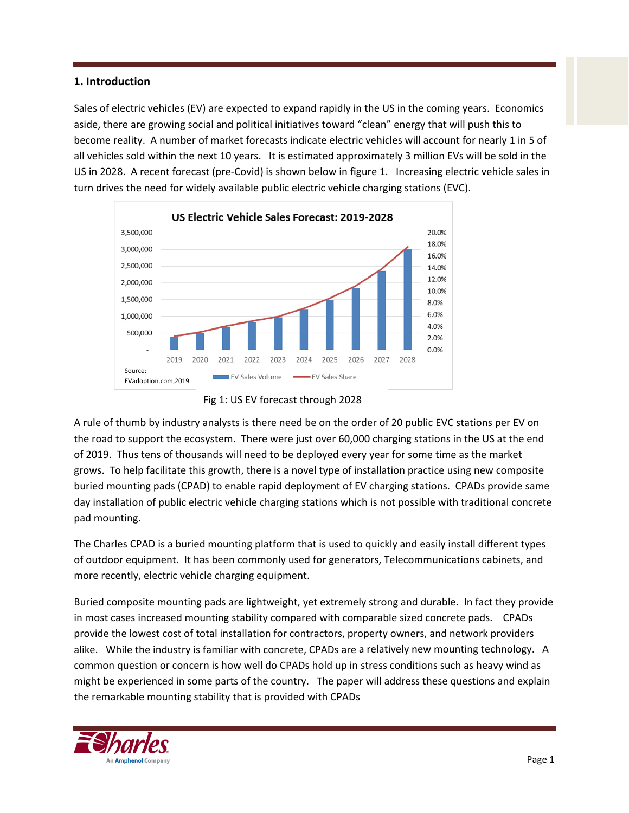# **1. Introduction**

Sales of electric vehicles (EV) are expected to expand rapidly in the US in the coming years. Economics aside, there are growing social and political initiatives toward "clean" energy that will push this to become reality. A number of market forecasts indicate electric vehicles will account for nearly 1 in 5 of all vehicles sold within the next 10 years. It is estimated approximately 3 million EVs will be sold in the US in 2028. A recent forecast (pre‐Covid) is shown below in figure 1. Increasing electric vehicle sales in turn drives the need for widely available public electric vehicle charging stations (EVC).





A rule of thumb by industry analysts is there need be on the order of 20 public EVC stations per EV on the road to support the ecosystem. There were just over 60,000 charging stations in the US at the end of 2019. Thus tens of thousands will need to be deployed every year for some time as the market grows. To help facilitate this growth, there is a novel type of installation practice using new composite buried mounting pads (CPAD) to enable rapid deployment of EV charging stations. CPADs provide same day installation of public electric vehicle charging stations which is not possible with traditional concrete pad mounting.

The Charles CPAD is a buried mounting platform that is used to quickly and easily install different types of outdoor equipment. It has been commonly used for generators, Telecommunications cabinets, and more recently, electric vehicle charging equipment.

Buried composite mounting pads are lightweight, yet extremely strong and durable. In fact they provide in most cases increased mounting stability compared with comparable sized concrete pads. CPADs provide the lowest cost of total installation for contractors, property owners, and network providers alike. While the industry is familiar with concrete, CPADs are a relatively new mounting technology. A common question or concern is how well do CPADs hold up in stress conditions such as heavy wind as might be experienced in some parts of the country. The paper will address these questions and explain the remarkable mounting stability that is provided with CPADs

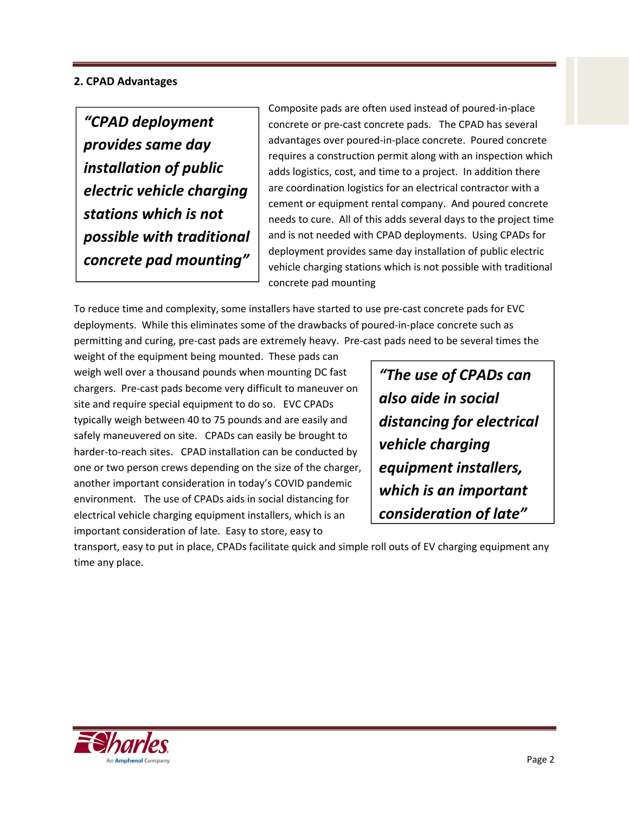# **2. CPAD Advantages**

*"CPAD deployment provides same day installation of public electric vehicle charging stations which is not possible with traditional concrete pad mounting"*

Composite pads are often used instead of poured‐in‐place concrete or pre‐cast concrete pads. The CPAD has several advantages over poured‐in‐place concrete. Poured concrete requires a construction permit along with an inspection which adds logistics, cost, and time to a project. In addition there are coordination logistics for an electrical contractor with a cement or equipment rental company. And poured concrete needs to cure. All of this adds several days to the project time and is not needed with CPAD deployments. Using CPADs for deployment provides same day installation of public electric vehicle charging stations which is not possible with traditional concrete pad mounting

To reduce time and complexity, some installers have started to use pre‐cast concrete pads for EVC deployments. While this eliminates some of the drawbacks of poured‐in‐place concrete such as permitting and curing, pre‐cast pads are extremely heavy. Pre‐cast pads need to be several times the

weight of the equipment being mounted. These pads can weigh well over a thousand pounds when mounting DC fast chargers. Pre‐cast pads become very difficult to maneuver on site and require special equipment to do so. EVC CPADs typically weigh between 40 to 75 pounds and are easily and safely maneuvered on site. CPADs can easily be brought to harder-to-reach sites. CPAD installation can be conducted by one or two person crews depending on the size of the charger, another important consideration in today's COVID pandemic environment. The use of CPADs aids in social distancing for electrical vehicle charging equipment installers, which is an important consideration of late. Easy to store, easy to

*"The use of CPADs can also aide in social distancing for electrical vehicle charging equipment installers, which is an important consideration of late"*

transport, easy to put in place, CPADs facilitate quick and simple roll outs of EV charging equipment any time any place.

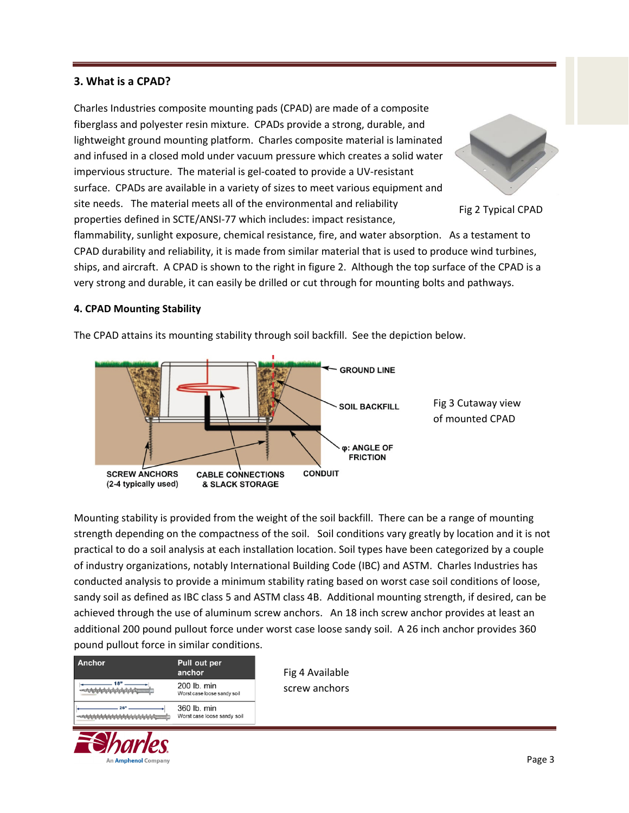# **3. What is a CPAD?**

Charles Industries composite mounting pads (CPAD) are made of a composite fiberglass and polyester resin mixture. CPADs provide a strong, durable, and lightweight ground mounting platform. Charles composite material is laminated and infused in a closed mold under vacuum pressure which creates a solid water impervious structure. The material is gel-coated to provide a UV-resistant surface. CPADs are available in a variety of sizes to meet various equipment and site needs. The material meets all of the environmental and reliability properties defined in SCTE/ANSI‐77 which includes: impact resistance,



Fig 2 Typical CPAD

flammability, sunlight exposure, chemical resistance, fire, and water absorption. As a testament to CPAD durability and reliability, it is made from similar material that is used to produce wind turbines, ships, and aircraft. A CPAD is shown to the right in figure 2. Although the top surface of the CPAD is a very strong and durable, it can easily be drilled or cut through for mounting bolts and pathways.

#### **4. CPAD Mounting Stability**

The CPAD attains its mounting stability through soil backfill. See the depiction below.



Mounting stability is provided from the weight of the soil backfill. There can be a range of mounting strength depending on the compactness of the soil. Soil conditions vary greatly by location and it is not practical to do a soil analysis at each installation location. Soil types have been categorized by a couple of industry organizations, notably International Building Code (IBC) and ASTM. Charles Industries has conducted analysis to provide a minimum stability rating based on worst case soil conditions of loose, sandy soil as defined as IBC class 5 and ASTM class 4B. Additional mounting strength, if desired, can be achieved through the use of aluminum screw anchors. An 18 inch screw anchor provides at least an additional 200 pound pullout force under worst case loose sandy soil. A 26 inch anchor provides 360 pound pullout force in similar conditions.

| Anchor | Pull out per<br>anchor                     |
|--------|--------------------------------------------|
|        | 200 lb. min<br>Worst case loose sandy soil |
|        | 360 lb. min<br>Worst case loose sandy soil |



Fig 4 Available screw anchors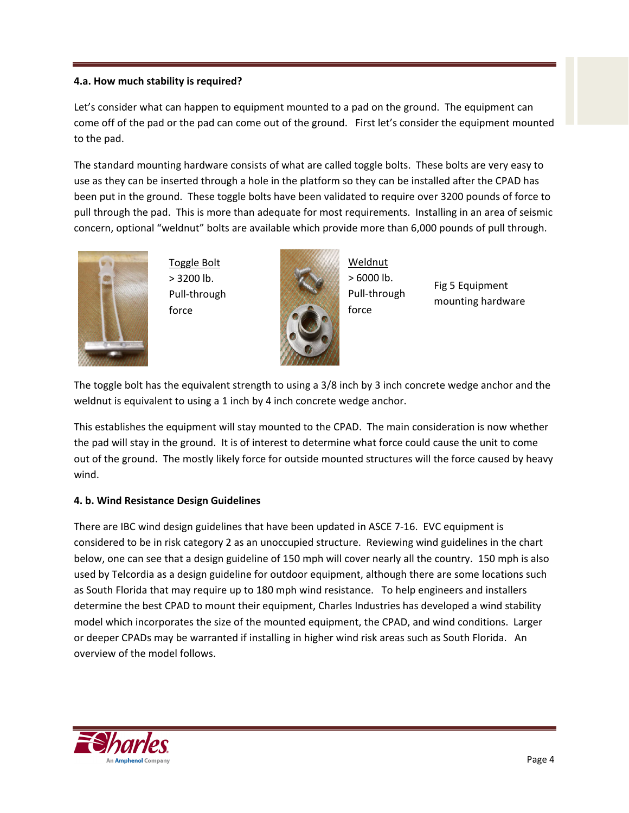### **4.a. How much stability is required?**

Let's consider what can happen to equipment mounted to a pad on the ground. The equipment can come off of the pad or the pad can come out of the ground. First let's consider the equipment mounted to the pad.

The standard mounting hardware consists of what are called toggle bolts. These bolts are very easy to use as they can be inserted through a hole in the platform so they can be installed after the CPAD has been put in the ground. These toggle bolts have been validated to require over 3200 pounds of force to pull through the pad. This is more than adequate for most requirements. Installing in an area of seismic concern, optional "weldnut" bolts are available which provide more than 6,000 pounds of pull through.



Toggle Bolt > 3200 lb. Pull‐through force



Weldnut > 6000 lb. Pull‐through force

Fig 5 Equipment mounting hardware

The toggle bolt has the equivalent strength to using a 3/8 inch by 3 inch concrete wedge anchor and the weldnut is equivalent to using a 1 inch by 4 inch concrete wedge anchor.

This establishes the equipment will stay mounted to the CPAD. The main consideration is now whether the pad will stay in the ground. It is of interest to determine what force could cause the unit to come out of the ground. The mostly likely force for outside mounted structures will the force caused by heavy wind.

# **4. b. Wind Resistance Design Guidelines**

There are IBC wind design guidelines that have been updated in ASCE 7‐16. EVC equipment is considered to be in risk category 2 as an unoccupied structure. Reviewing wind guidelines in the chart below, one can see that a design guideline of 150 mph will cover nearly all the country. 150 mph is also used by Telcordia as a design guideline for outdoor equipment, although there are some locations such as South Florida that may require up to 180 mph wind resistance. To help engineers and installers determine the best CPAD to mount their equipment, Charles Industries has developed a wind stability model which incorporates the size of the mounted equipment, the CPAD, and wind conditions. Larger or deeper CPADs may be warranted if installing in higher wind risk areas such as South Florida. An overview of the model follows.

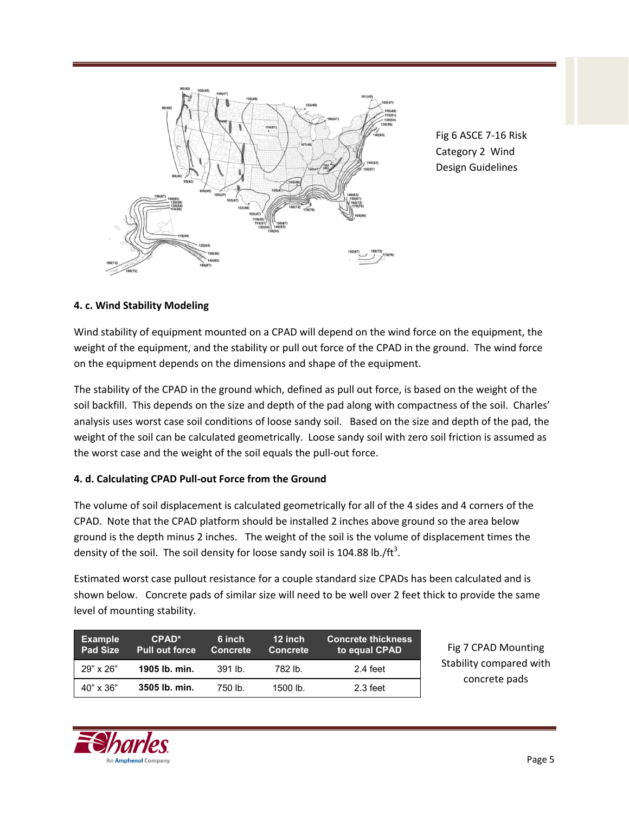

Fig 6 ASCE 7‐16 Risk Category 2 Wind Design Guidelines

# **4. c. Wind Stability Modeling**

Wind stability of equipment mounted on a CPAD will depend on the wind force on the equipment, the weight of the equipment, and the stability or pull out force of the CPAD in the ground. The wind force on the equipment depends on the dimensions and shape of the equipment.

The stability of the CPAD in the ground which, defined as pull out force, is based on the weight of the soil backfill. This depends on the size and depth of the pad along with compactness of the soil. Charles' analysis uses worst case soil conditions of loose sandy soil. Based on the size and depth of the pad, the weight of the soil can be calculated geometrically. Loose sandy soil with zero soil friction is assumed as the worst case and the weight of the soil equals the pull‐out force.

# **4. d. Calculating CPAD Pull‐out Force from the Ground**

The volume of soil displacement is calculated geometrically for all of the 4 sides and 4 corners of the CPAD. Note that the CPAD platform should be installed 2 inches above ground so the area below ground is the depth minus 2 inches. The weight of the soil is the volume of displacement times the density of the soil. The soil density for loose sandy soil is 104.88 lb./ft<sup>3</sup>.

Estimated worst case pullout resistance for a couple standard size CPADs has been calculated and is shown below. Concrete pads of similar size will need to be well over 2 feet thick to provide the same level of mounting stability.

| <b>Example</b><br><b>Pad Size</b> | $CPAD^*$<br><b>Pull out force</b> | 6 inch<br>Concrete | 12 inch<br><b>Concrete</b> | <b>Concrete thickness</b><br>to equal CPAD |
|-----------------------------------|-----------------------------------|--------------------|----------------------------|--------------------------------------------|
| $29" \times 26"$                  | 1905 lb. min.                     | $391$ lb.          | 782 lb.                    | 2.4 feet                                   |
| $40" \times 36"$                  | 3505 lb. min.                     | 750 lb.            | $1500$ lb.                 | 2.3 feet                                   |

Fig 7 CPAD Mounting Stability compared with concrete pads

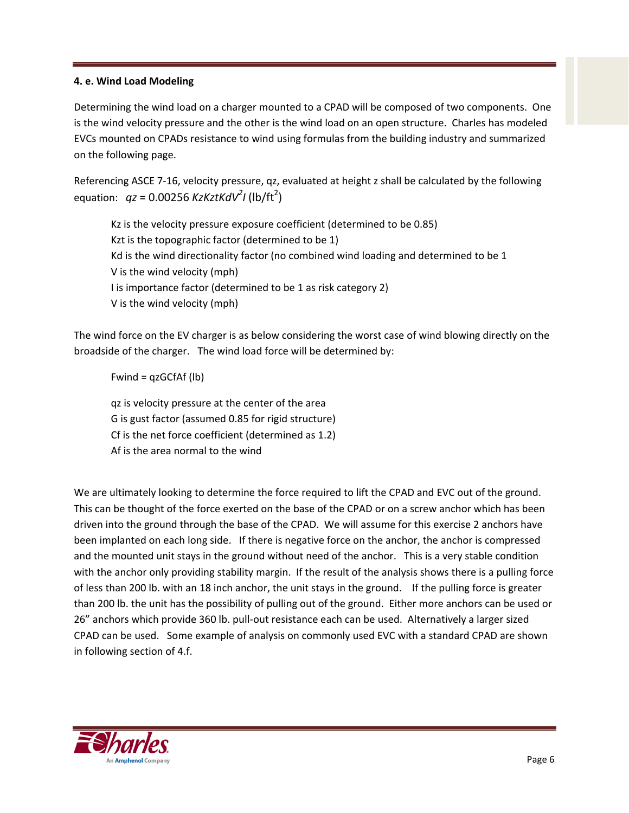# **4. e. Wind Load Modeling**

Determining the wind load on a charger mounted to a CPAD will be composed of two components. One is the wind velocity pressure and the other is the wind load on an open structure. Charles has modeled EVCs mounted on CPADs resistance to wind using formulas from the building industry and summarized on the following page.

Referencing ASCE 7-16, velocity pressure, qz, evaluated at height z shall be calculated by the following equation:  $qz = 0.00256$  KzKztKdV<sup>2</sup>I (lb/ft<sup>2</sup>)

Kz is the velocity pressure exposure coefficient (determined to be 0.85) Kzt is the topographic factor (determined to be 1) Kd is the wind directionality factor (no combined wind loading and determined to be 1 V is the wind velocity (mph) I is importance factor (determined to be 1 as risk category 2) V is the wind velocity (mph)

The wind force on the EV charger is as below considering the worst case of wind blowing directly on the broadside of the charger. The wind load force will be determined by:

Fwind = qzGCfAf (lb)

qz is velocity pressure at the center of the area G is gust factor (assumed 0.85 for rigid structure) Cf is the net force coefficient (determined as 1.2) Af is the area normal to the wind

We are ultimately looking to determine the force required to lift the CPAD and EVC out of the ground. This can be thought of the force exerted on the base of the CPAD or on a screw anchor which has been driven into the ground through the base of the CPAD. We will assume for this exercise 2 anchors have been implanted on each long side. If there is negative force on the anchor, the anchor is compressed and the mounted unit stays in the ground without need of the anchor. This is a very stable condition with the anchor only providing stability margin. If the result of the analysis shows there is a pulling force of less than 200 lb. with an 18 inch anchor, the unit stays in the ground. If the pulling force is greater than 200 lb. the unit has the possibility of pulling out of the ground. Either more anchors can be used or 26" anchors which provide 360 lb. pull‐out resistance each can be used. Alternatively a larger sized CPAD can be used. Some example of analysis on commonly used EVC with a standard CPAD are shown in following section of 4.f.

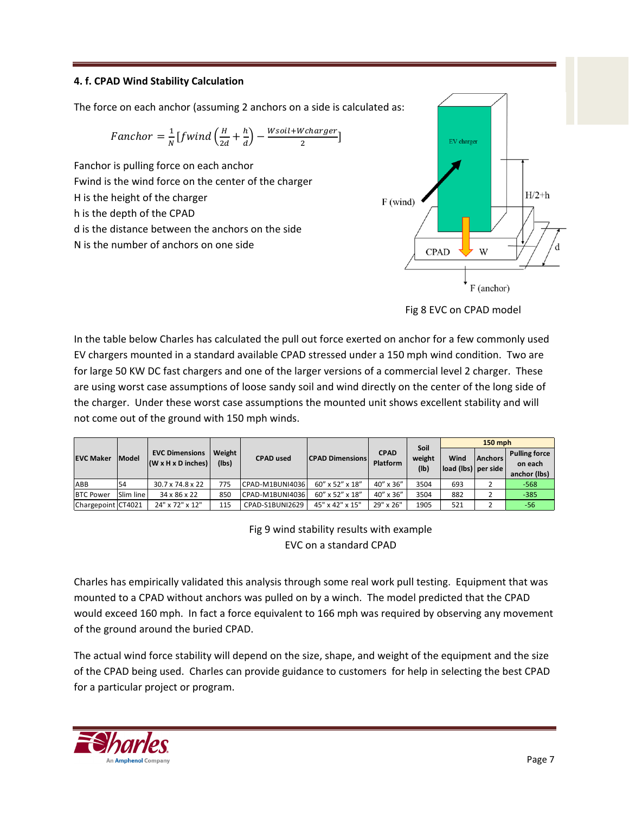## **4. f. CPAD Wind Stability Calculation**

The force on each anchor (assuming 2 anchors on a side is calculated as:

$$
Fanchor = \frac{1}{N} \left[ fwind \left( \frac{H}{2d} + \frac{h}{d} \right) - \frac{W soil + W charger}{2} \right]
$$

Fanchor is pulling force on each anchor Fwind is the wind force on the center of the charger H is the height of the charger h is the depth of the CPAD d is the distance between the anchors on the side N is the number of anchors on one side





In the table below Charles has calculated the pull out force exerted on anchor for a few commonly used EV chargers mounted in a standard available CPAD stressed under a 150 mph wind condition. Two are for large 50 KW DC fast chargers and one of the larger versions of a commercial level 2 charger. These are using worst case assumptions of loose sandy soil and wind directly on the center of the long side of the charger. Under these worst case assumptions the mounted unit shows excellent stability and will not come out of the ground with 150 mph winds.

|                    |                  |                                                         |                   |                  | <b>150 mph</b>         |                         |                        |                                                     |                |                                                 |
|--------------------|------------------|---------------------------------------------------------|-------------------|------------------|------------------------|-------------------------|------------------------|-----------------------------------------------------|----------------|-------------------------------------------------|
| <b>EVC Maker</b>   | <b>Model</b>     | <b>EVC Dimensions</b><br>$(W \times H \times D$ inches) | Weight  <br>(Ibs) | <b>CPAD</b> used | <b>CPAD Dimensions</b> | <b>CPAD</b><br>Platform | Soil<br>weight<br>(Ib) | Wind<br>$\vert$ load (lbs) $\vert$ per side $\vert$ | <b>Anchors</b> | <b>Pulling force</b><br>on each<br>anchor (lbs) |
| ABB                | 54               | $30.7 \times 74.8 \times 22$                            | 775               | CPAD-M1BUNI4036  | 60" x 52" x 18"        | 40" x 36"               | 3504                   | 693                                                 |                | $-568$                                          |
| <b>BTC Power</b>   | <b>Slim line</b> | 34 x 86 x 22                                            | 850               | CPAD-M1BUNI4036  | 60" x 52" x 18"        | 40" x 36"               | 3504                   | 882                                                 |                | $-385$                                          |
| Chargepoint CT4021 |                  | 24" x 72" x 12"                                         | 115               | CPAD-S1BUNI2629  | 45" x 42" x 15"        | 29" x 26"               | 1905                   | 521                                                 |                | -56                                             |

Fig 9 wind stability results with example EVC on a standard CPAD

Charles has empirically validated this analysis through some real work pull testing. Equipment that was mounted to a CPAD without anchors was pulled on by a winch. The model predicted that the CPAD would exceed 160 mph. In fact a force equivalent to 166 mph was required by observing any movement of the ground around the buried CPAD.

The actual wind force stability will depend on the size, shape, and weight of the equipment and the size of the CPAD being used. Charles can provide guidance to customers for help in selecting the best CPAD for a particular project or program.

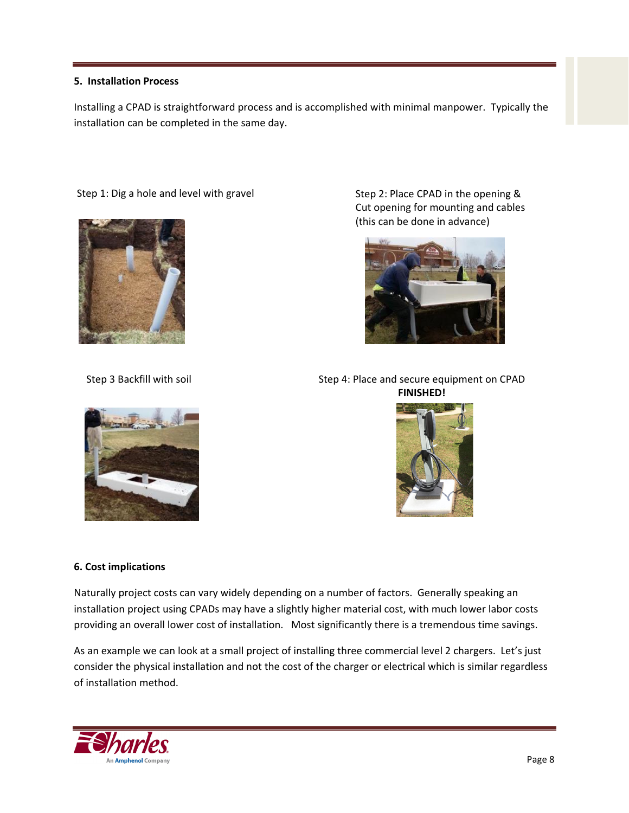#### **5. Installation Process**

Installing a CPAD is straightforward process and is accomplished with minimal manpower. Typically the installation can be completed in the same day.

#### Step 1: Dig a hole and level with gravel Step 2: Place CPAD in the opening &





Cut opening for mounting and cables (this can be done in advance)



Step 3 Backfill with soil Step 4: Place and secure equipment on CPAD **FINISHED!**



#### **6. Cost implications**

Naturally project costs can vary widely depending on a number of factors. Generally speaking an installation project using CPADs may have a slightly higher material cost, with much lower labor costs providing an overall lower cost of installation. Most significantly there is a tremendous time savings.

As an example we can look at a small project of installing three commercial level 2 chargers. Let's just consider the physical installation and not the cost of the charger or electrical which is similar regardless of installation method.

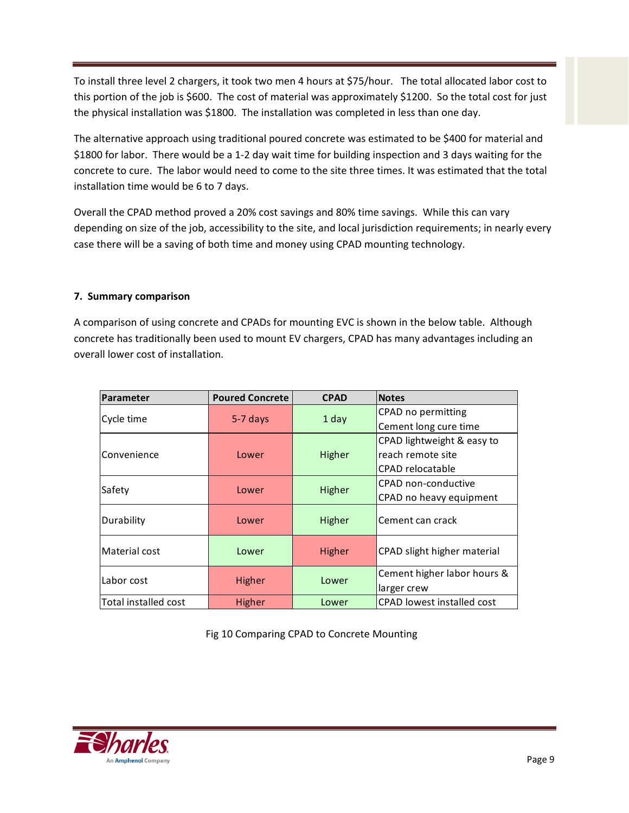To install three level 2 chargers, it took two men 4 hours at \$75/hour. The total allocated labor cost to this portion of the job is \$600. The cost of material was approximately \$1200. So the total cost for just the physical installation was \$1800. The installation was completed in less than one day.

The alternative approach using traditional poured concrete was estimated to be \$400 for material and \$1800 for labor. There would be a 1‐2 day wait time for building inspection and 3 days waiting for the concrete to cure. The labor would need to come to the site three times. It was estimated that the total installation time would be 6 to 7 days.

Overall the CPAD method proved a 20% cost savings and 80% time savings. While this can vary depending on size of the job, accessibility to the site, and local jurisdiction requirements; in nearly every case there will be a saving of both time and money using CPAD mounting technology.

#### **7. Summary comparison**

A comparison of using concrete and CPADs for mounting EVC is shown in the below table. Although concrete has traditionally been used to mount EV chargers, CPAD has many advantages including an overall lower cost of installation.

| Parameter            | <b>Poured Concrete</b> | <b>CPAD</b> | <b>Notes</b>                      |  |  |
|----------------------|------------------------|-------------|-----------------------------------|--|--|
| Cycle time           |                        |             | CPAD no permitting                |  |  |
|                      | 5-7 days               | 1 day       | Cement long cure time             |  |  |
|                      |                        |             | CPAD lightweight & easy to        |  |  |
| Convenience          | Lower                  | Higher      | reach remote site                 |  |  |
|                      |                        |             | CPAD relocatable                  |  |  |
| Safety               | Lower                  | Higher      | CPAD non-conductive               |  |  |
|                      |                        |             | CPAD no heavy equipment           |  |  |
| Durability           | Lower                  | Higher      | Cement can crack                  |  |  |
| Material cost        | Lower                  | Higher      | CPAD slight higher material       |  |  |
| Labor cost           | Higher                 | Lower       | Cement higher labor hours &       |  |  |
|                      |                        |             | larger crew                       |  |  |
| Total installed cost | Higher                 | Lower       | <b>CPAD</b> lowest installed cost |  |  |

Fig 10 Comparing CPAD to Concrete Mounting